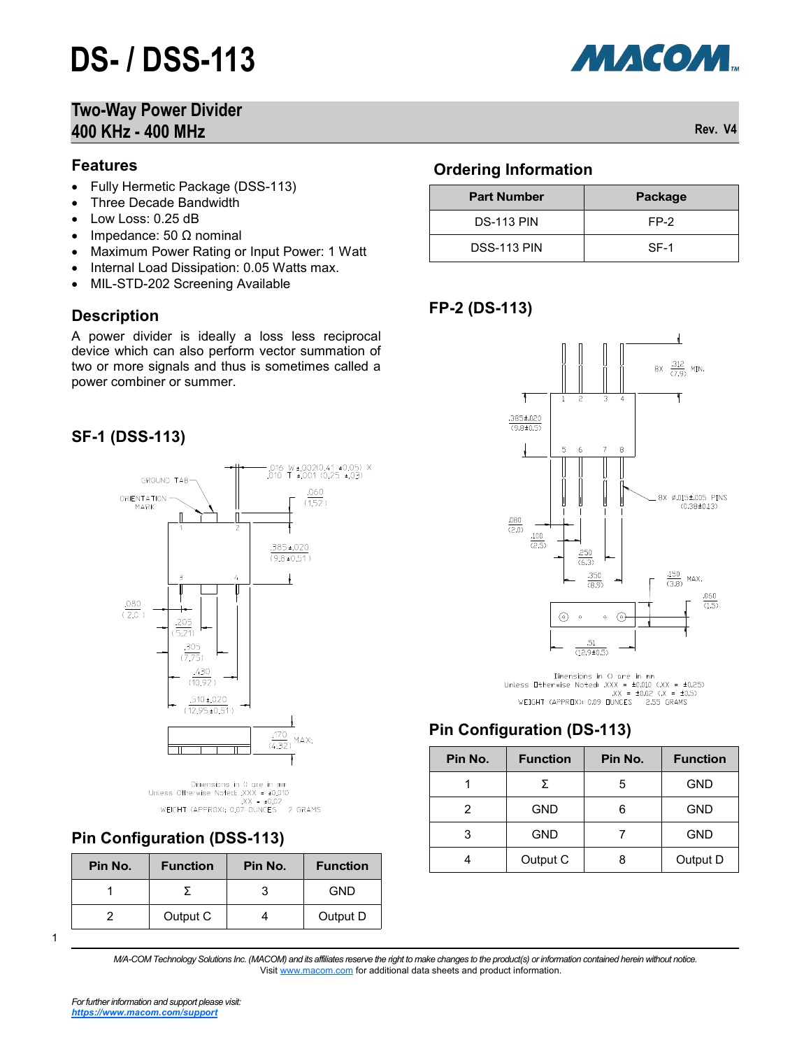# **DS- / DSS-113**

#### **Two-Way Power Divider 400 KHz - 400 MHz Rev. V4**

#### **Features**

- Fully Hermetic Package (DSS-113)
- Three Decade Bandwidth
- Low Loss: 0.25 dB
- Impedance: 50  $\Omega$  nominal
- Maximum Power Rating or Input Power: 1 Watt
- Internal Load Dissipation: 0.05 Watts max.
- MIL-STD-202 Screening Available

#### **Description**

A power divider is ideally a loss less reciprocal device which can also perform vector summation of two or more signals and thus is sometimes called a power combiner or summer.

#### **SF-1 (DSS-113)**



Dimensions in 0 are in mm Unless Otherwise Noted:  $XX = \pm 0.010$ <br> $X = \pm 0.02$ <br>WEIGHT (APPROX): 0.07 OUNCES 2 GRAMS

## **Pin Configuration (DSS-113)**

| Pin No. | <b>Function</b> | Pin No. | <b>Function</b> |
|---------|-----------------|---------|-----------------|
|         |                 |         | GND             |
|         | Output C        |         | Output D        |

1

*M/A-COM Technology Solutions Inc. (MACOM) and its affiliates reserve the right to make changes to the product(s) or information contained herein without notice.*  Visit [www.macom.com](http://www.macom.com/) for additional data sheets and product information.

#### **Ordering Information**

| <b>Part Number</b> | Package |  |  |
|--------------------|---------|--|--|
| <b>DS-113 PIN</b>  | $FP-2$  |  |  |
| <b>DSS-113 PIN</b> | $SF-1$  |  |  |

## **FP-2 (DS-113)**



Dimensions in () are in mm<br>Unless Otherwise Noted: .XXX =  $\pm 0.010$  (.XX =  $\pm 0.25$ )<br>.XX =  $\pm 0.02$  (.X =  $\pm 0.5$ ) WEIGHT (APPROX): 0.09 DUNCES 2.55 GRAMS

#### **Pin Configuration (DS-113)**

| Pin No. | <b>Function</b> | Pin No. | <b>Function</b> |
|---------|-----------------|---------|-----------------|
|         | Σ               | 5       | <b>GND</b>      |
| 2       | <b>GND</b>      | 6       | <b>GND</b>      |
| 3       | <b>GND</b>      |         | <b>GND</b>      |
|         | Output C        |         | Output D        |

*For further information and support please visit: [https://www.macom.com/support](http://www.macom.com/support)*

МАСОМ.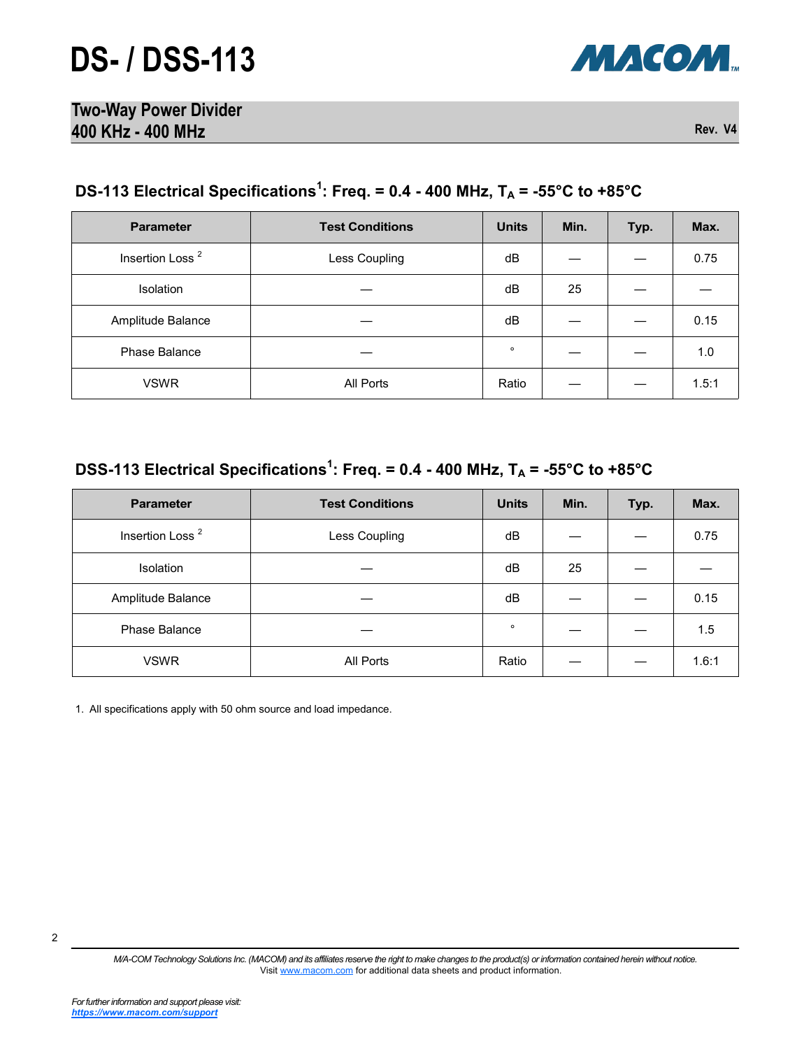

| <b>Two-Way Power Divider</b> |         |
|------------------------------|---------|
| 400 KHz - 400 MHz            | Rev. V4 |

## **DS-113 Electrical Specifications<sup>1</sup> : Freq. = 0.4 - 400 MHz, T<sup>A</sup> = -55°C to +85°C**

| <b>Parameter</b>            | <b>Test Conditions</b> | <b>Units</b> | Min. | Typ. | Max.  |
|-----------------------------|------------------------|--------------|------|------|-------|
| Insertion Loss <sup>2</sup> | Less Coupling          | dB           |      |      | 0.75  |
| Isolation                   |                        | dB           | 25   |      |       |
| Amplitude Balance           |                        | dB           |      |      | 0.15  |
| Phase Balance               |                        | $\circ$      |      |      | 1.0   |
| <b>VSWR</b>                 | All Ports              | Ratio        |      |      | 1.5:1 |

## **DSS-113 Electrical Specifications<sup>1</sup> : Freq. = 0.4 - 400 MHz, T<sup>A</sup> = -55°C to +85°C**

| <b>Parameter</b>            | <b>Test Conditions</b> | <b>Units</b> | Min. | Typ. | Max.  |
|-----------------------------|------------------------|--------------|------|------|-------|
| Insertion Loss <sup>2</sup> | Less Coupling          | dB           |      |      | 0.75  |
| <b>Isolation</b>            |                        | dB           | 25   |      |       |
| Amplitude Balance           |                        | dB           |      |      | 0.15  |
| Phase Balance               |                        | $\circ$      |      |      | 1.5   |
| <b>VSWR</b>                 | All Ports              | Ratio        |      |      | 1.6:1 |

1. All specifications apply with 50 ohm source and load impedance.

*M/A-COM Technology Solutions Inc. (MACOM) and its affiliates reserve the right to make changes to the product(s) or information contained herein without notice.*  Visit [www.macom.com](http://www.macom.com/) for additional data sheets and product information.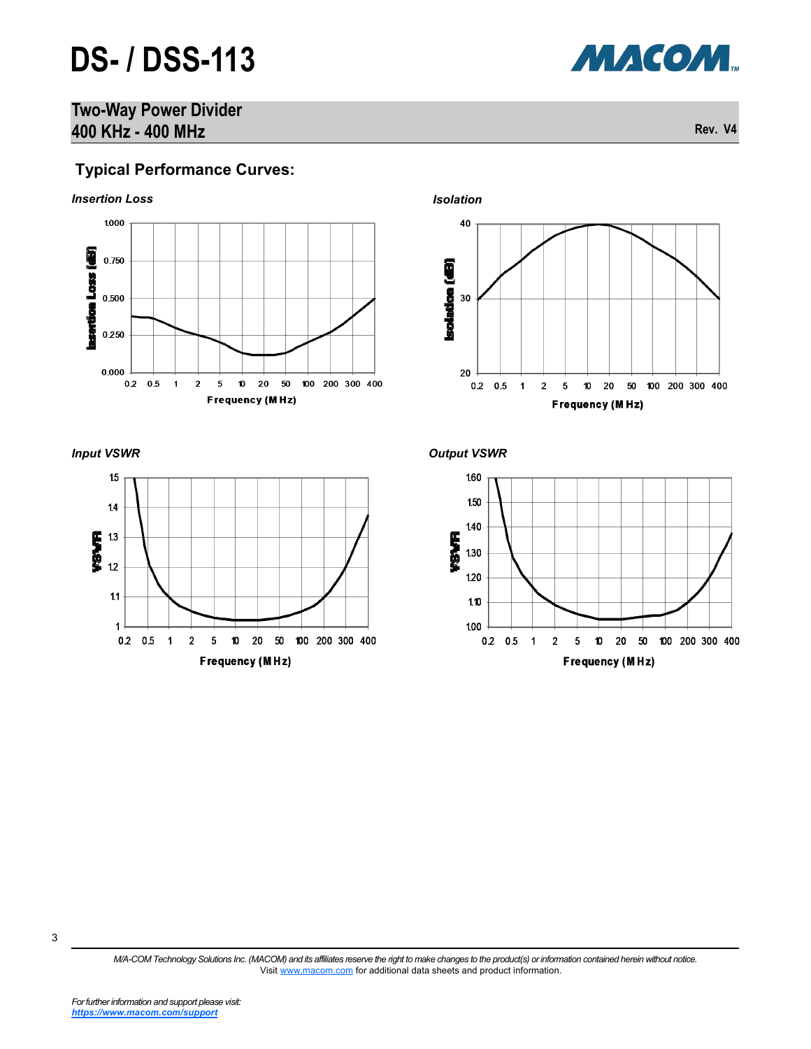# **DS- / DSS-113**

## **Two-Way Power Divider 400 KHz - 400 MHz Rev. V4**

## **Typical Performance Curves:**









*Input VSWR Output VSWR*



3

**МАСОМ**